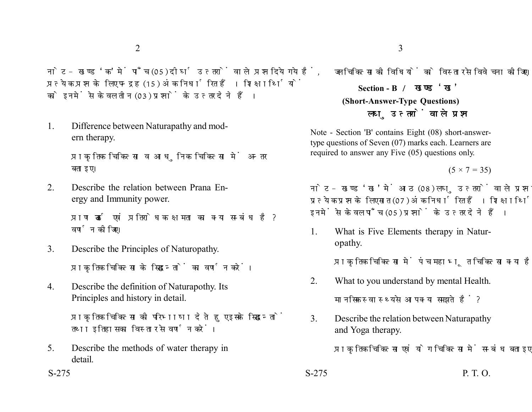नोट- खण्ड 'क' में पाँच (05) दीर्घ उत्तरों वाले प्रश्न दिये गये हैं. प्रत्येक प्रश्न के लिए पन्द्रह (15) अंक निर्धारित हैं। शिक्षार्थियों को इनमें से केवल तीन (03) प्रश्नों के उत्तर देने हैं।

1. Difference between Naturapathy and modern therapy.

> प्राकृतिक चिकित्सा व आधुनिक चिकित्सा में अन्तर बताइए।

2. Describe the relation between Prana Energy and Immunity power.

> प्राण ऊर्जा एवं प्रतिरोधक क्षमता का क्या सम्बंध है? वर्णन कीजिए।

3. Describe the Principles of Naturopathy.

प्राकृतिक चिकित्सा के सिद्धान्तों का वर्णन करें।

4. Describe the definition of Naturapothy. Its Principles and history in detail.

> प्राकृतिक चिकित्सा की परिभाषा देते हुए इसके सिद्धान्तों तथा इतिहास का विस्तार से वर्णन करें।

5. Describe the methods of water therapy in detail.

जल चिकित्सा की विधियों को विस्तार से विवेचना कीजिए।

**Section - B (Short-Answer-Type Questions)** लघु उत्तरों वाले प्रश्न

Note - Section 'B' contains Eight (08) short-answertype questions of Seven (07) marks each. Learners are required to answer any Five (05) questions only.

 $(5 \times 7 = 35)$ 

नोट- खण्ड 'ख' में आठ (08) लघु उत्तरों वाले प्रश्न दिये गये हैं, प्रत्येक प्रश्न के लिए सात (07) अंक निर्धारित हैं। शिक्षार्थियों को इनमें से केवल पाँच (05) प्रश्नों के उत्तर देने हैं।

1. What is Five Elements therapy in Naturopathy.

प्राकृतिक चिकित्सा में पंच महाभूत चिकित्सा क्या है?

- 2. What to you understand by mental Health. मानसिक स्वास्थ्य से आप क्या समझते हैं ?
- 3. Describe the relation between Naturapathy and Yoga therapy.

प्राकृतिक चिकित्सा एवं योग चिकित्सा में सम्बंध बताइए।

 $S-275$  P. T. O.